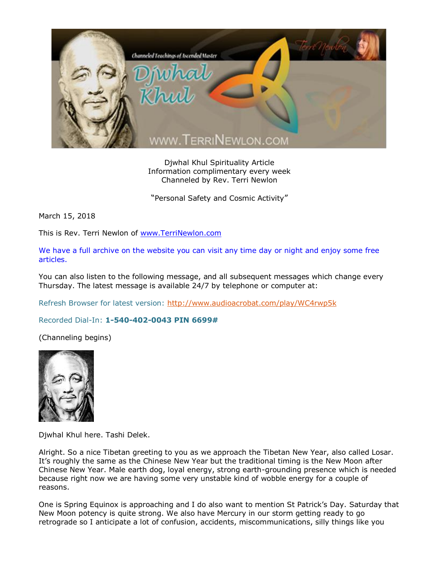

Djwhal Khul Spirituality Article Information complimentary every week Channeled by Rev. Terri Newlon

"Personal Safety and Cosmic Activity"

March 15, 2018

This is Rev. Terri Newlon of [www.TerriNewlon.com](http://www.terrinewlon.com/)

We have a full archive on the website you can visit any time day or night and enjoy some free articles.

You can also listen to the following message, and all subsequent messages which change every Thursday. The latest message is available 24/7 by telephone or computer at:

Refresh Browser for latest version:<http://www.audioacrobat.com/play/WC4rwp5k>

Recorded Dial-In: **1-540-402-0043 PIN 6699#**

(Channeling begins)



Djwhal Khul here. Tashi Delek.

Alright. So a nice Tibetan greeting to you as we approach the Tibetan New Year, also called Losar. It's roughly the same as the Chinese New Year but the traditional timing is the New Moon after Chinese New Year. Male earth dog, loyal energy, strong earth-grounding presence which is needed because right now we are having some very unstable kind of wobble energy for a couple of reasons.

One is Spring Equinox is approaching and I do also want to mention St Patrick's Day. Saturday that New Moon potency is quite strong. We also have Mercury in our storm getting ready to go retrograde so I anticipate a lot of confusion, accidents, miscommunications, silly things like you